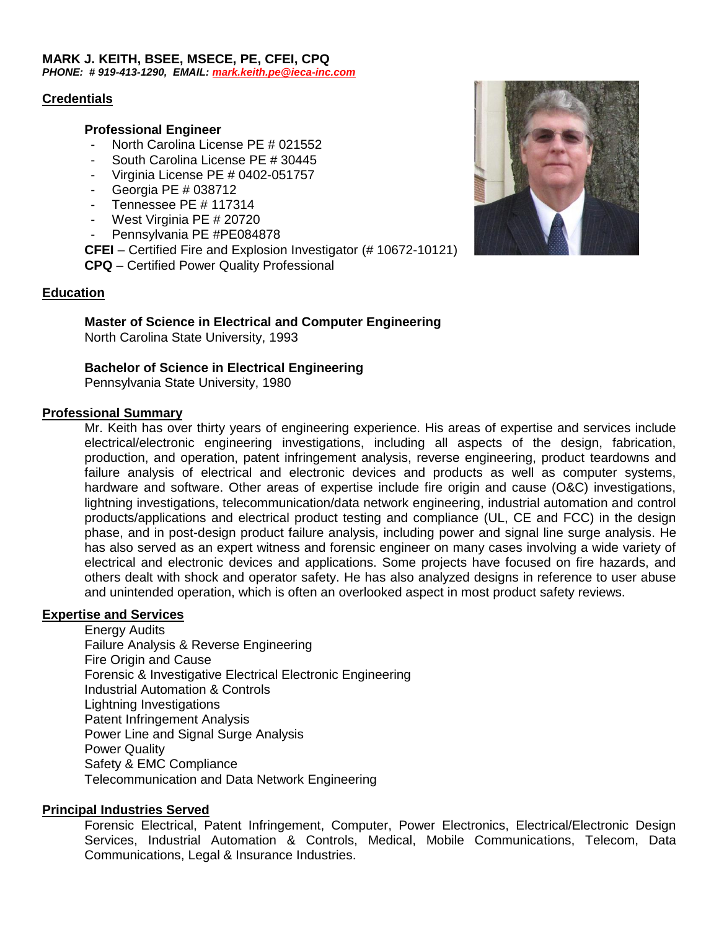#### **MARK J. KEITH, BSEE, MSECE, PE, CFEI, CPQ** *PHONE: # 919-413-1290, EMAIL: [mark.keith.pe@ieca-inc.com](mailto:mark.keith.pe@iec-inc.com)*

### **Credentials**

### **Professional Engineer**

- North Carolina License PE # 021552
- South Carolina License PE # 30445
- Virginia License PE # 0402-051757
- Georgia PE # 038712
- Tennessee PE # 117314
- West Virginia PE # 20720
- Pennsylvania PE #PE084878
- **CFEI** Certified Fire and Explosion Investigator (# 10672-10121)

**CPQ** – Certified Power Quality Professional

### **Education**

## **Master of Science in Electrical and Computer Engineering**

North Carolina State University, 1993

## **Bachelor of Science in Electrical Engineering**

Pennsylvania State University, 1980

### **Professional Summary**

Mr. Keith has over thirty years of engineering experience. His areas of expertise and services include electrical/electronic engineering investigations, including all aspects of the design, fabrication, production, and operation, patent infringement analysis, reverse engineering, product teardowns and failure analysis of electrical and electronic devices and products as well as computer systems, hardware and software. Other areas of expertise include fire origin and cause (O&C) investigations, lightning investigations, telecommunication/data network engineering, industrial automation and control products/applications and electrical product testing and compliance (UL, CE and FCC) in the design phase, and in post-design product failure analysis, including power and signal line surge analysis. He has also served as an expert witness and forensic engineer on many cases involving a wide variety of electrical and electronic devices and applications. Some projects have focused on fire hazards, and others dealt with shock and operator safety. He has also analyzed designs in reference to user abuse and unintended operation, which is often an overlooked aspect in most product safety reviews.

## **Expertise and Services**

Energy Audits Failure Analysis & Reverse Engineering Fire Origin and Cause Forensic & Investigative Electrical Electronic Engineering Industrial Automation & Controls Lightning Investigations Patent Infringement Analysis Power Line and Signal Surge Analysis Power Quality Safety & EMC Compliance Telecommunication and Data Network Engineering

## **Principal Industries Served**

Forensic Electrical, Patent Infringement, Computer, Power Electronics, Electrical/Electronic Design Services, Industrial Automation & Controls, Medical, Mobile Communications, Telecom, Data Communications, Legal & Insurance Industries.

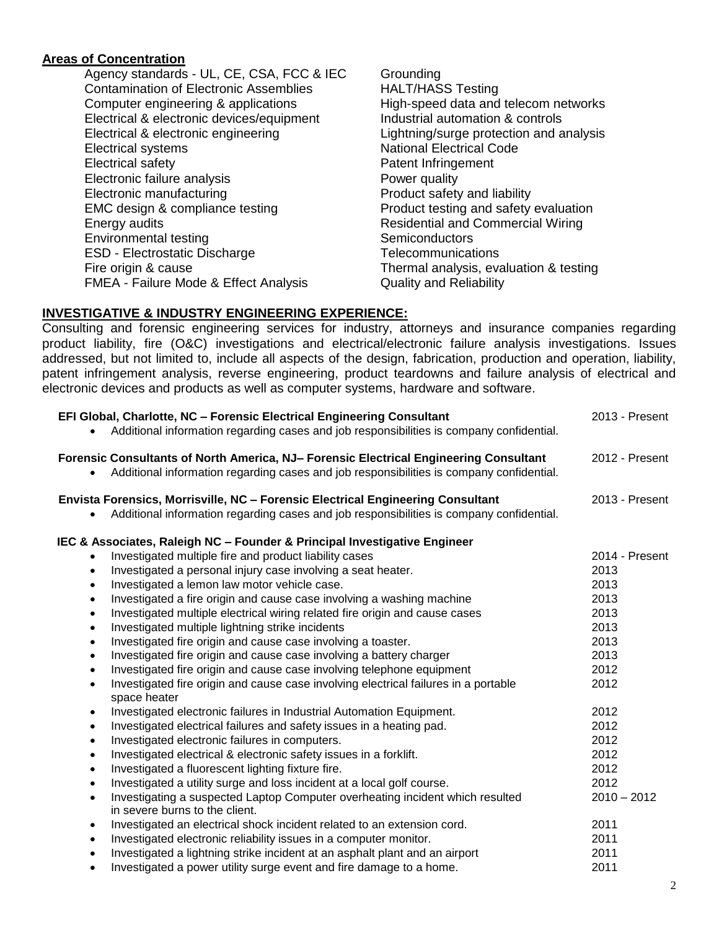# **Areas of Concentration**

Agency standards - UL, CE, CSA, FCC & IEC Grounding Contamination of Electronic Assemblies HALT/HASS Testing Computer engineering & applications High-speed data and telecom networks Electrical & electronic devices/equipment Industrial automation & controls Electrical & electronic engineering Lightning/surge protection and analysis Electrical systems National Electrical Code Electrical safety **Patent Infringement** Patent Infringement Electronic failure analysis **Power quality** Electronic manufacturing **Electronic manufacturing** Product safety and liability EMC design & compliance testing **Product testing and safety evaluation** Energy audits Residential and Commercial Wiring Environmental testing Semiconductors ESD - Electrostatic Discharge Telecommunications Fire origin & cause Thermal analysis, evaluation & testing FMEA - Failure Mode & Effect Analysis **Quality and Reliability** 

# **INVESTIGATIVE & INDUSTRY ENGINEERING EXPERIENCE:**

Consulting and forensic engineering services for industry, attorneys and insurance companies regarding product liability, fire (O&C) investigations and electrical/electronic failure analysis investigations. Issues addressed, but not limited to, include all aspects of the design, fabrication, production and operation, liability, patent infringement analysis, reverse engineering, product teardowns and failure analysis of electrical and electronic devices and products as well as computer systems, hardware and software.

| EFI Global, Charlotte, NC - Forensic Electrical Engineering Consultant<br>Additional information regarding cases and job responsibilities is company confidential.                                    | 2013 - Present        |
|-------------------------------------------------------------------------------------------------------------------------------------------------------------------------------------------------------|-----------------------|
| Forensic Consultants of North America, NJ- Forensic Electrical Engineering Consultant<br>Additional information regarding cases and job responsibilities is company confidential.                     | 2012 - Present        |
| Envista Forensics, Morrisville, NC - Forensic Electrical Engineering Consultant<br>Additional information regarding cases and job responsibilities is company confidential.                           | 2013 - Present        |
| IEC & Associates, Raleigh NC - Founder & Principal Investigative Engineer<br>Investigated multiple fire and product liability cases                                                                   | 2014 - Present        |
| Investigated a personal injury case involving a seat heater.<br>$\bullet$<br>Investigated a lemon law motor vehicle case.<br>$\bullet$                                                                | 2013<br>2013          |
| Investigated a fire origin and cause case involving a washing machine<br>$\bullet$<br>Investigated multiple electrical wiring related fire origin and cause cases<br>$\bullet$                        | 2013<br>2013          |
| Investigated multiple lightning strike incidents<br>$\bullet$<br>Investigated fire origin and cause case involving a toaster.<br>$\bullet$                                                            | 2013<br>2013          |
| Investigated fire origin and cause case involving a battery charger<br>$\bullet$<br>Investigated fire origin and cause case involving telephone equipment<br>$\bullet$                                | 2013<br>2012<br>2012  |
| Investigated fire origin and cause case involving electrical failures in a portable<br>$\bullet$<br>space heater<br>Investigated electronic failures in Industrial Automation Equipment.<br>$\bullet$ | 2012                  |
| Investigated electrical failures and safety issues in a heating pad.<br>$\bullet$<br>Investigated electronic failures in computers.<br>$\bullet$                                                      | 2012<br>2012          |
| Investigated electrical & electronic safety issues in a forklift.<br>$\bullet$<br>Investigated a fluorescent lighting fixture fire.<br>$\bullet$                                                      | 2012<br>2012          |
| Investigated a utility surge and loss incident at a local golf course.<br>$\bullet$<br>Investigating a suspected Laptop Computer overheating incident which resulted<br>$\bullet$                     | 2012<br>$2010 - 2012$ |
| in severe burns to the client.<br>Investigated an electrical shock incident related to an extension cord.<br>$\bullet$                                                                                | 2011                  |
| Investigated electronic reliability issues in a computer monitor.<br>$\bullet$<br>Investigated a lightning strike incident at an asphalt plant and an airport                                         | 2011<br>2011<br>2011  |
| Investigated a power utility surge event and fire damage to a home.                                                                                                                                   |                       |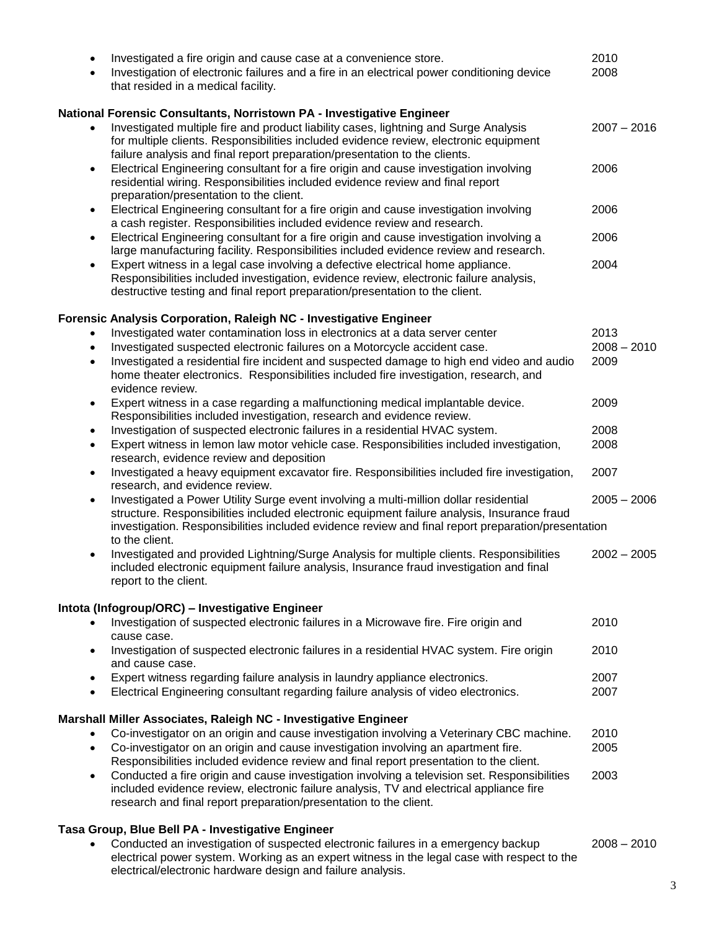| $\bullet$<br>$\bullet$ | Investigated a fire origin and cause case at a convenience store.<br>Investigation of electronic failures and a fire in an electrical power conditioning device<br>that resided in a medical facility.                                                                                                       | 2010<br>2008  |
|------------------------|--------------------------------------------------------------------------------------------------------------------------------------------------------------------------------------------------------------------------------------------------------------------------------------------------------------|---------------|
|                        | National Forensic Consultants, Norristown PA - Investigative Engineer                                                                                                                                                                                                                                        |               |
|                        | Investigated multiple fire and product liability cases, lightning and Surge Analysis<br>for multiple clients. Responsibilities included evidence review, electronic equipment<br>failure analysis and final report preparation/presentation to the clients.                                                  | $2007 - 2016$ |
| ٠                      | Electrical Engineering consultant for a fire origin and cause investigation involving<br>residential wiring. Responsibilities included evidence review and final report<br>preparation/presentation to the client.                                                                                           | 2006          |
| $\bullet$              | Electrical Engineering consultant for a fire origin and cause investigation involving<br>a cash register. Responsibilities included evidence review and research.                                                                                                                                            | 2006          |
| $\bullet$              | Electrical Engineering consultant for a fire origin and cause investigation involving a<br>large manufacturing facility. Responsibilities included evidence review and research.                                                                                                                             | 2006          |
| $\bullet$              | Expert witness in a legal case involving a defective electrical home appliance.<br>Responsibilities included investigation, evidence review, electronic failure analysis,<br>destructive testing and final report preparation/presentation to the client.                                                    | 2004          |
|                        | Forensic Analysis Corporation, Raleigh NC - Investigative Engineer                                                                                                                                                                                                                                           |               |
| ٠                      | Investigated water contamination loss in electronics at a data server center                                                                                                                                                                                                                                 | 2013          |
| $\bullet$              | Investigated suspected electronic failures on a Motorcycle accident case.                                                                                                                                                                                                                                    | $2008 - 2010$ |
| $\bullet$              | Investigated a residential fire incident and suspected damage to high end video and audio<br>home theater electronics. Responsibilities included fire investigation, research, and<br>evidence review.                                                                                                       | 2009          |
| ٠                      | Expert witness in a case regarding a malfunctioning medical implantable device.<br>Responsibilities included investigation, research and evidence review.                                                                                                                                                    | 2009          |
| $\bullet$              | Investigation of suspected electronic failures in a residential HVAC system.                                                                                                                                                                                                                                 | 2008          |
| $\bullet$              | Expert witness in lemon law motor vehicle case. Responsibilities included investigation,<br>research, evidence review and deposition                                                                                                                                                                         | 2008          |
| $\bullet$              | Investigated a heavy equipment excavator fire. Responsibilities included fire investigation,<br>research, and evidence review.                                                                                                                                                                               | 2007          |
| $\bullet$              | Investigated a Power Utility Surge event involving a multi-million dollar residential<br>structure. Responsibilities included electronic equipment failure analysis, Insurance fraud<br>investigation. Responsibilities included evidence review and final report preparation/presentation<br>to the client. | $2005 - 2006$ |
| ٠                      | Investigated and provided Lightning/Surge Analysis for multiple clients. Responsibilities<br>included electronic equipment failure analysis, Insurance fraud investigation and final<br>report to the client.                                                                                                | $2002 - 2005$ |
|                        | Intota (Infogroup/ORC) - Investigative Engineer                                                                                                                                                                                                                                                              |               |
| ٠                      | Investigation of suspected electronic failures in a Microwave fire. Fire origin and<br>cause case.                                                                                                                                                                                                           | 2010          |
| $\bullet$              | Investigation of suspected electronic failures in a residential HVAC system. Fire origin<br>and cause case.                                                                                                                                                                                                  | 2010          |
| $\bullet$              | Expert witness regarding failure analysis in laundry appliance electronics.                                                                                                                                                                                                                                  | 2007          |
| $\bullet$              | Electrical Engineering consultant regarding failure analysis of video electronics.                                                                                                                                                                                                                           | 2007          |
|                        | Marshall Miller Associates, Raleigh NC - Investigative Engineer                                                                                                                                                                                                                                              |               |
| $\bullet$              | Co-investigator on an origin and cause investigation involving a Veterinary CBC machine.                                                                                                                                                                                                                     | 2010          |
| $\bullet$              | Co-investigator on an origin and cause investigation involving an apartment fire.<br>Responsibilities included evidence review and final report presentation to the client.                                                                                                                                  | 2005          |
| ٠                      | Conducted a fire origin and cause investigation involving a television set. Responsibilities<br>included evidence review, electronic failure analysis, TV and electrical appliance fire<br>research and final report preparation/presentation to the client.                                                 | 2003          |
|                        | Tasa Group, Blue Bell PA - Investigative Engineer                                                                                                                                                                                                                                                            |               |

 Conducted an investigation of suspected electronic failures in a emergency backup 2008 – 2010 electrical power system. Working as an expert witness in the legal case with respect to the electrical/electronic hardware design and failure analysis.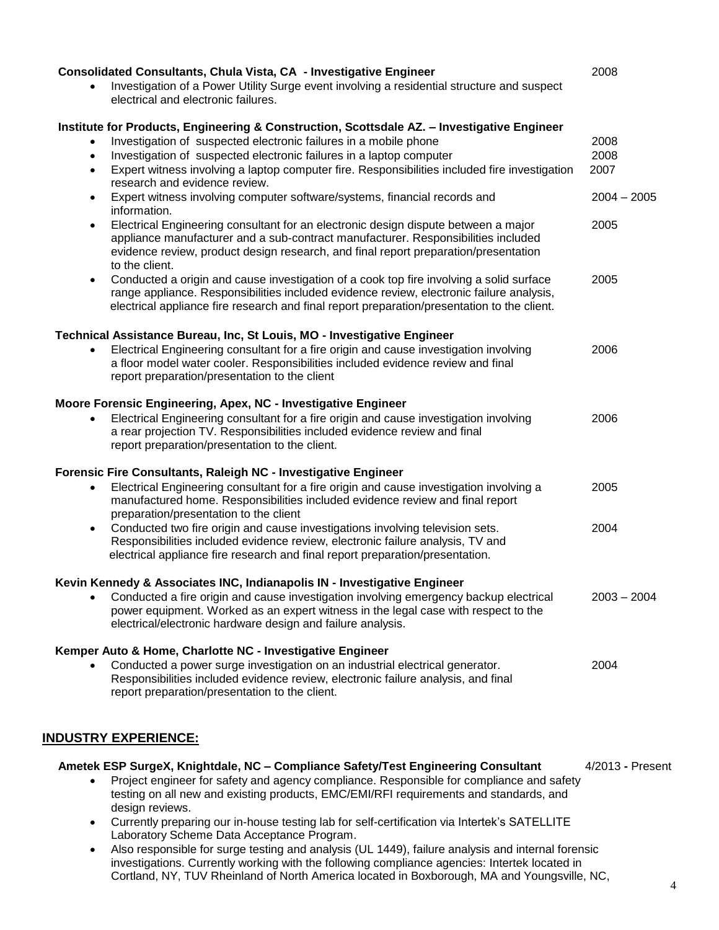| Consolidated Consultants, Chula Vista, CA - Investigative Engineer<br>Investigation of a Power Utility Surge event involving a residential structure and suspect<br>electrical and electronic failures.                                                                                         | 2008             |
|-------------------------------------------------------------------------------------------------------------------------------------------------------------------------------------------------------------------------------------------------------------------------------------------------|------------------|
| Institute for Products, Engineering & Construction, Scottsdale AZ. - Investigative Engineer                                                                                                                                                                                                     |                  |
| Investigation of suspected electronic failures in a mobile phone                                                                                                                                                                                                                                | 2008             |
| Investigation of suspected electronic failures in a laptop computer<br>$\bullet$                                                                                                                                                                                                                | 2008             |
| Expert witness involving a laptop computer fire. Responsibilities included fire investigation<br>$\bullet$<br>research and evidence review.                                                                                                                                                     | 2007             |
| Expert witness involving computer software/systems, financial records and<br>$\bullet$<br>information.                                                                                                                                                                                          | $2004 - 2005$    |
| Electrical Engineering consultant for an electronic design dispute between a major<br>$\bullet$<br>appliance manufacturer and a sub-contract manufacturer. Responsibilities included<br>evidence review, product design research, and final report preparation/presentation<br>to the client.   | 2005             |
| Conducted a origin and cause investigation of a cook top fire involving a solid surface<br>$\bullet$<br>range appliance. Responsibilities included evidence review, electronic failure analysis,<br>electrical appliance fire research and final report preparation/presentation to the client. | 2005             |
| Technical Assistance Bureau, Inc, St Louis, MO - Investigative Engineer                                                                                                                                                                                                                         |                  |
| Electrical Engineering consultant for a fire origin and cause investigation involving<br>a floor model water cooler. Responsibilities included evidence review and final<br>report preparation/presentation to the client                                                                       | 2006             |
| Moore Forensic Engineering, Apex, NC - Investigative Engineer                                                                                                                                                                                                                                   |                  |
| Electrical Engineering consultant for a fire origin and cause investigation involving<br>a rear projection TV. Responsibilities included evidence review and final<br>report preparation/presentation to the client.                                                                            | 2006             |
| Forensic Fire Consultants, Raleigh NC - Investigative Engineer                                                                                                                                                                                                                                  |                  |
| Electrical Engineering consultant for a fire origin and cause investigation involving a<br>$\bullet$<br>manufactured home. Responsibilities included evidence review and final report<br>preparation/presentation to the client                                                                 | 2005             |
| Conducted two fire origin and cause investigations involving television sets.<br>$\bullet$<br>Responsibilities included evidence review, electronic failure analysis, TV and<br>electrical appliance fire research and final report preparation/presentation.                                   | 2004             |
| Kevin Kennedy & Associates INC, Indianapolis IN - Investigative Engineer                                                                                                                                                                                                                        |                  |
| Conducted a fire origin and cause investigation involving emergency backup electrical<br>power equipment. Worked as an expert witness in the legal case with respect to the<br>electrical/electronic hardware design and failure analysis.                                                      | $2003 - 2004$    |
| Kemper Auto & Home, Charlotte NC - Investigative Engineer                                                                                                                                                                                                                                       |                  |
| Conducted a power surge investigation on an industrial electrical generator.<br>Responsibilities included evidence review, electronic failure analysis, and final<br>report preparation/presentation to the client.                                                                             | 2004             |
|                                                                                                                                                                                                                                                                                                 |                  |
| <u> INDUSTRY EXPERIENCE:</u>                                                                                                                                                                                                                                                                    |                  |
| Ametek ESP SurgeX, Knightdale, NC - Compliance Safety/Test Engineering Consultant                                                                                                                                                                                                               | 4/2013 - Present |
| Project engineer for safety and agency compliance. Responsible for compliance and safety<br>testing on all new and existing products, EMC/EMI/RFI requirements and standards, and<br>design reviews.                                                                                            |                  |
| Currently preparing our in-house testing lab for self-certification via Intertek's SATELLITE<br>Laboratory Scheme Data Acceptance Program.                                                                                                                                                      |                  |
| Also responsible for surge testing and analysis (UL 1449), failure analysis and internal forensic                                                                                                                                                                                               |                  |

 Also responsible for surge testing and analysis (UL 1449), failure analysis and internal forensic investigations. Currently working with the following compliance agencies: Intertek located in Cortland, NY, TUV Rheinland of North America located in Boxborough, MA and Youngsville, NC,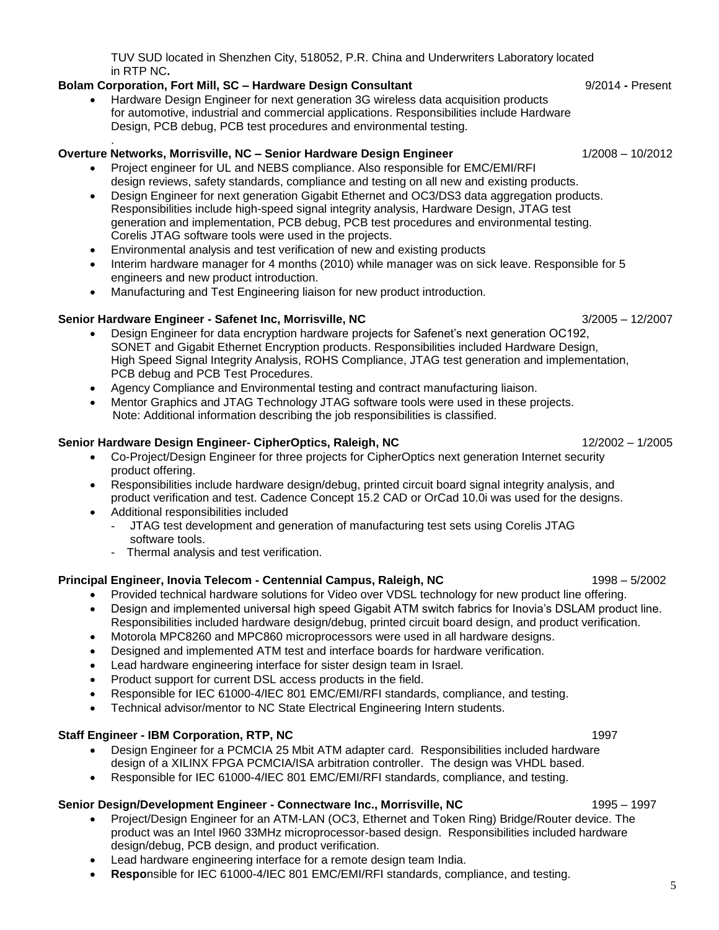TUV SUD located in Shenzhen City, 518052, P.R. China and Underwriters Laboratory located in RTP NC**.**

### **Bolam Corporation, Fort Mill, SC – Hardware Design Consultant <b>19/2014** - Present

.

 Hardware Design Engineer for next generation 3G wireless data acquisition products for automotive, industrial and commercial applications. Responsibilities include Hardware Design, PCB debug, PCB test procedures and environmental testing.

### **Overture Networks, Morrisville, NC – Senior Hardware Design Engineer** 1/2008 – 10/2012

- Project engineer for UL and NEBS compliance. Also responsible for EMC/EMI/RFI design reviews, safety standards, compliance and testing on all new and existing products.
- Design Engineer for next generation Gigabit Ethernet and OC3/DS3 data aggregation products. Responsibilities include high-speed signal integrity analysis, Hardware Design, JTAG test generation and implementation, PCB debug, PCB test procedures and environmental testing. Corelis JTAG software tools were used in the projects.
- Environmental analysis and test verification of new and existing products
- Interim hardware manager for 4 months (2010) while manager was on sick leave. Responsible for 5 engineers and new product introduction.
- Manufacturing and Test Engineering liaison for new product introduction.

### **Senior Hardware Engineer - Safenet Inc, Morrisville, NC** 3/2005 – 12/2007

- Design Engineer for data encryption hardware projects for Safenet's next generation OC192, SONET and Gigabit Ethernet Encryption products. Responsibilities included Hardware Design, High Speed Signal Integrity Analysis, ROHS Compliance, JTAG test generation and implementation, PCB debug and PCB Test Procedures.
- Agency Compliance and Environmental testing and contract manufacturing liaison.
- Mentor Graphics and JTAG Technology JTAG software tools were used in these projects. Note: Additional information describing the job responsibilities is classified.

#### **Senior Hardware Design Engineer- CipherOptics, Raleigh, NC** 12/2002 – 1/2005

- Co-Project/Design Engineer for three projects for CipherOptics next generation Internet security product offering.
- Responsibilities include hardware design/debug, printed circuit board signal integrity analysis, and product verification and test. Cadence Concept 15.2 CAD or OrCad 10.0i was used for the designs.
- Additional responsibilities included
	- JTAG test development and generation of manufacturing test sets using Corelis JTAG software tools.
	- Thermal analysis and test verification.

#### **Principal Engineer, Inovia Telecom - Centennial Campus, Raleigh, NC** 1998 – 5/2002

- Provided technical hardware solutions for Video over VDSL technology for new product line offering.
- Design and implemented universal high speed Gigabit ATM switch fabrics for Inovia's DSLAM product line. Responsibilities included hardware design/debug, printed circuit board design, and product verification.
- Motorola MPC8260 and MPC860 microprocessors were used in all hardware designs.
- Designed and implemented ATM test and interface boards for hardware verification.
- Lead hardware engineering interface for sister design team in Israel.
- Product support for current DSL access products in the field.
- Responsible for IEC 61000-4/IEC 801 EMC/EMI/RFI standards, compliance, and testing.
- Technical advisor/mentor to NC State Electrical Engineering Intern students.

#### **Staff Engineer - IBM Corporation, RTP, NC** 1997

- Design Engineer for a PCMCIA 25 Mbit ATM adapter card. Responsibilities included hardware design of a XILINX FPGA PCMCIA/ISA arbitration controller. The design was VHDL based.
- Responsible for IEC 61000-4/IEC 801 EMC/EMI/RFI standards, compliance, and testing.

#### **Senior Design/Development Engineer - Connectware Inc., Morrisville, NC** 1995 – 1997

- Project/Design Engineer for an ATM-LAN (OC3, Ethernet and Token Ring) Bridge/Router device. The product was an Intel I960 33MHz microprocessor-based design. Responsibilities included hardware design/debug, PCB design, and product verification.
- Lead hardware engineering interface for a remote design team India.
- **Respo**nsible for IEC 61000-4/IEC 801 EMC/EMI/RFI standards, compliance, and testing.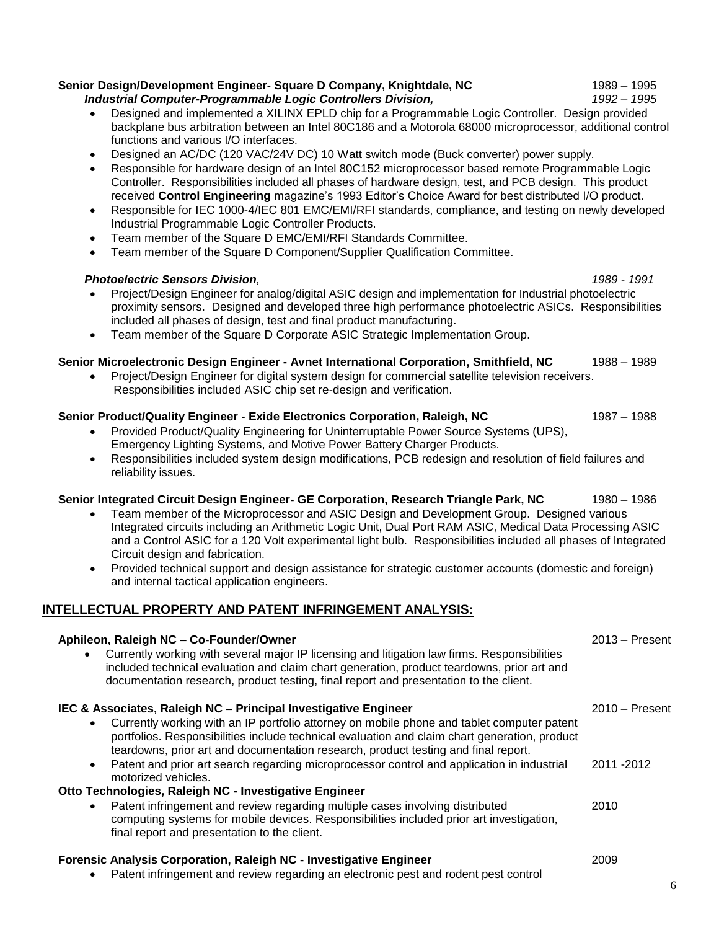#### **Senior Design/Development Engineer- Square D Company, Knightdale, NC** 1989 – 1995 *Industrial Computer-Programmable Logic Controllers Division, 1992* – *1995*

 Designed and implemented a XILINX EPLD chip for a Programmable Logic Controller. Design provided backplane bus arbitration between an Intel 80C186 and a Motorola 68000 microprocessor, additional control functions and various I/O interfaces.

- Designed an AC/DC (120 VAC/24V DC) 10 Watt switch mode (Buck converter) power supply.
- Responsible for hardware design of an Intel 80C152 microprocessor based remote Programmable Logic Controller. Responsibilities included all phases of hardware design, test, and PCB design. This product received **Control Engineering** magazine's 1993 Editor's Choice Award for best distributed I/O product.
- Responsible for IEC 1000-4/IEC 801 EMC/EMI/RFI standards, compliance, and testing on newly developed Industrial Programmable Logic Controller Products.
- Team member of the Square D EMC/EMI/RFI Standards Committee.
- Team member of the Square D Component/Supplier Qualification Committee.

#### *Photoelectric Sensors Division, 1989 - 1991*

- Project/Design Engineer for analog/digital ASIC design and implementation for Industrial photoelectric proximity sensors. Designed and developed three high performance photoelectric ASICs. Responsibilities included all phases of design, test and final product manufacturing.
- Team member of the Square D Corporate ASIC Strategic Implementation Group.

#### **Senior Microelectronic Design Engineer - Avnet International Corporation, Smithfield, NC** 1988 – 1989

• Project/Design Engineer for digital system design for commercial satellite television receivers. Responsibilities included ASIC chip set re-design and verification.

#### **Senior Product/Quality Engineer - Exide Electronics Corporation, Raleigh, NC** 1987 – 1988

- Provided Product/Quality Engineering for Uninterruptable Power Source Systems (UPS), Emergency Lighting Systems, and Motive Power Battery Charger Products.
- Responsibilities included system design modifications, PCB redesign and resolution of field failures and reliability issues.

#### **Senior Integrated Circuit Design Engineer- GE Corporation, Research Triangle Park, NC** 1980 – 1986

- Team member of the Microprocessor and ASIC Design and Development Group. Designed various Integrated circuits including an Arithmetic Logic Unit, Dual Port RAM ASIC, Medical Data Processing ASIC and a Control ASIC for a 120 Volt experimental light bulb. Responsibilities included all phases of Integrated Circuit design and fabrication.
- Provided technical support and design assistance for strategic customer accounts (domestic and foreign) and internal tactical application engineers.

## **INTELLECTUAL PROPERTY AND PATENT INFRINGEMENT ANALYSIS:**

| Aphileon, Raleigh NC - Co-Founder/Owner                                                                                                                                                                                                                                                          | $2013 -$ Present |
|--------------------------------------------------------------------------------------------------------------------------------------------------------------------------------------------------------------------------------------------------------------------------------------------------|------------------|
| Currently working with several major IP licensing and litigation law firms. Responsibilities<br>$\bullet$<br>included technical evaluation and claim chart generation, product teardowns, prior art and<br>documentation research, product testing, final report and presentation to the client. |                  |
| IEC & Associates, Raleigh NC - Principal Investigative Engineer                                                                                                                                                                                                                                  | $2010 -$ Present |
| Currently working with an IP portfolio attorney on mobile phone and tablet computer patent<br>$\bullet$<br>portfolios. Responsibilities include technical evaluation and claim chart generation, product<br>teardowns, prior art and documentation research, product testing and final report.   |                  |
| Patent and prior art search regarding microprocessor control and application in industrial<br>$\bullet$<br>motorized vehicles.                                                                                                                                                                   | 2011 - 2012      |
| Otto Technologies, Raleigh NC - Investigative Engineer                                                                                                                                                                                                                                           |                  |
| Patent infringement and review regarding multiple cases involving distributed<br>$\bullet$<br>computing systems for mobile devices. Responsibilities included prior art investigation,<br>final report and presentation to the client.                                                           | 2010             |
| Forensic Analysis Corporation, Raleigh NC - Investigative Engineer                                                                                                                                                                                                                               | 2009             |

Patent infringement and review regarding an electronic pest and rodent pest control